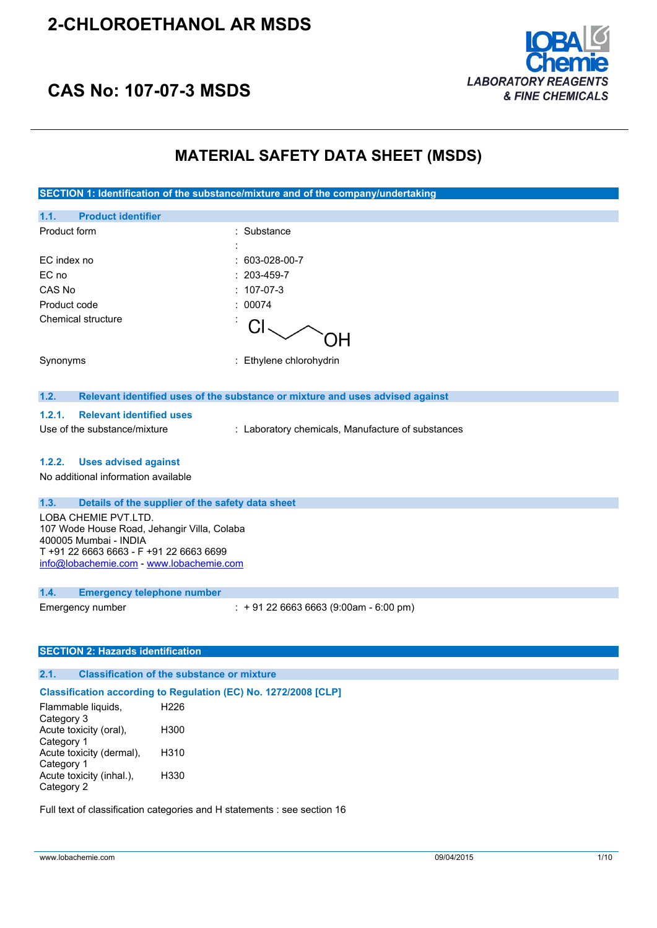# **2-CHLOROETHANOL AR MSDS**



# **CAS No: 107-07-3 MSDS**

# **MATERIAL SAFETY DATA SHEET (MSDS)**

| SECTION 1: Identification of the substance/mixture and of the company/undertaking |                                                                               |  |
|-----------------------------------------------------------------------------------|-------------------------------------------------------------------------------|--|
| <b>Product identifier</b><br>1.1.                                                 |                                                                               |  |
| Product form                                                                      | : Substance                                                                   |  |
|                                                                                   |                                                                               |  |
| EC index no                                                                       | 603-028-00-7                                                                  |  |
| EC no                                                                             | 203-459-7                                                                     |  |
| CAS No                                                                            | 107-07-3                                                                      |  |
| Product code                                                                      | 00074                                                                         |  |
| Chemical structure                                                                | СI<br>OΗ                                                                      |  |
| Synonyms                                                                          | : Ethylene chlorohydrin                                                       |  |
| 1.2.                                                                              | Relevant identified uses of the substance or mixture and uses advised against |  |
| 1.2.1.<br><b>Relevant identified uses</b>                                         |                                                                               |  |
|                                                                                   |                                                                               |  |
| Use of the substance/mixture                                                      | : Laboratory chemicals, Manufacture of substances                             |  |
| 1.2.2.<br><b>Uses advised against</b>                                             |                                                                               |  |
| No additional information available                                               |                                                                               |  |
|                                                                                   |                                                                               |  |
| 1.3.                                                                              | Details of the supplier of the safety data sheet                              |  |
| LOBA CHEMIE PVT.LTD.                                                              |                                                                               |  |
| 107 Wode House Road, Jehangir Villa, Colaba<br>400005 Mumbai - INDIA              |                                                                               |  |
| T +91 22 6663 6663 - F +91 22 6663 6699                                           |                                                                               |  |
| info@lobachemie.com - www.lobachemie.com                                          |                                                                               |  |
|                                                                                   |                                                                               |  |
| 1.4.<br><b>Emergency telephone number</b><br>Emergency number                     | $: +912266636663(9:00am - 6:00 pm)$                                           |  |
|                                                                                   |                                                                               |  |
|                                                                                   |                                                                               |  |
| <b>SECTION 2: Hazards identification</b>                                          |                                                                               |  |
| 2.1.                                                                              | <b>Classification of the substance or mixture</b>                             |  |
|                                                                                   | Classification according to Regulation (EC) No. 1272/2008 [CLP]               |  |
| Flammable liquids,                                                                | H <sub>226</sub>                                                              |  |
| Category 3                                                                        |                                                                               |  |
| Acute toxicity (oral),<br>Category 1                                              | H300                                                                          |  |
| Acute toxicity (dermal),                                                          | H310                                                                          |  |

Full text of classification categories and H statements : see section 16

H330

Category 1

Category 2

Acute toxicity (inhal.),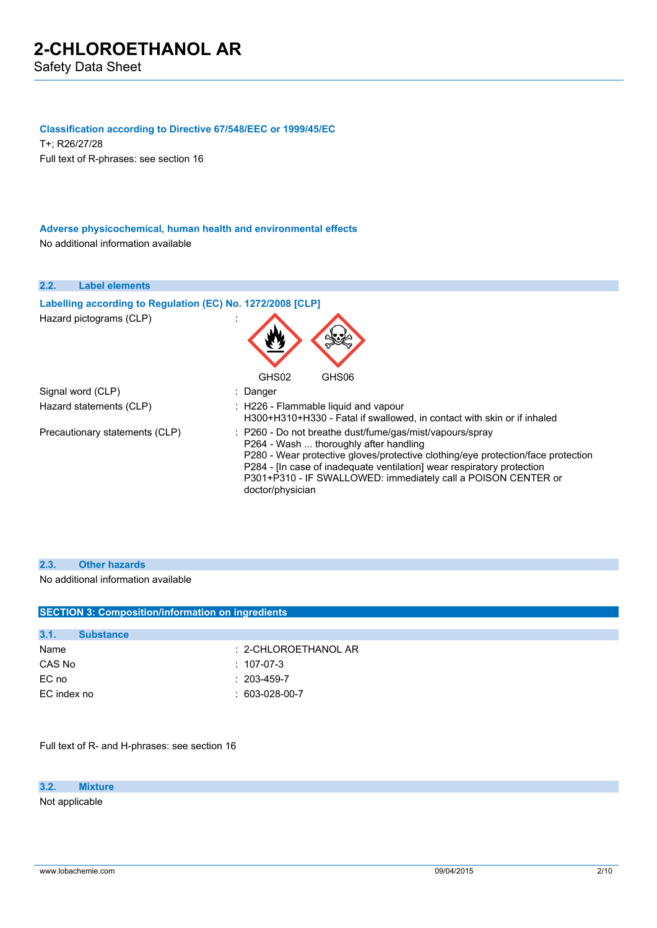#### **Classification according to Directive 67/548/EEC or 1999/45/EC**

T+; R26/27/28 Full text of R-phrases: see section 16

### **Adverse physicochemical, human health and environmental effects** No additional information available

| 2.2.<br><b>Label elements</b>                              |                                                                                                                                                                                                                                                                                                                                                                  |
|------------------------------------------------------------|------------------------------------------------------------------------------------------------------------------------------------------------------------------------------------------------------------------------------------------------------------------------------------------------------------------------------------------------------------------|
| Labelling according to Regulation (EC) No. 1272/2008 [CLP] |                                                                                                                                                                                                                                                                                                                                                                  |
| Hazard pictograms (CLP)                                    | GHS02<br>GHS06                                                                                                                                                                                                                                                                                                                                                   |
| Signal word (CLP)                                          | : Danger                                                                                                                                                                                                                                                                                                                                                         |
| Hazard statements (CLP)                                    | : H226 - Flammable liquid and vapour<br>H300+H310+H330 - Fatal if swallowed, in contact with skin or if inhaled                                                                                                                                                                                                                                                  |
| Precautionary statements (CLP)                             | $\therefore$ P260 - Do not breathe dust/fume/gas/mist/vapours/spray<br>P264 - Wash  thoroughly after handling<br>P280 - Wear protective gloves/protective clothing/eye protection/face protection<br>P284 - [In case of inadequate ventilation] wear respiratory protection<br>P301+P310 - IF SWALLOWED: immediately call a POISON CENTER or<br>doctor/physician |

### **2.3. Other hazards**

No additional information available

| <b>SECTION 3: Composition/information on ingredients</b> |                         |
|----------------------------------------------------------|-------------------------|
|                                                          |                         |
| 3.1.                                                     | <b>Substance</b>        |
| Name                                                     | $: 2$ -CHLOROETHANOL AR |
| CAS No                                                   | $: 107-07-3$            |
| EC no                                                    | $: 203 - 459 - 7$       |
| EC index no                                              | $: 603-028-00-7$        |
|                                                          |                         |

Full text of R- and H-phrases: see section 16

**3.2. Mixture**

Not applicable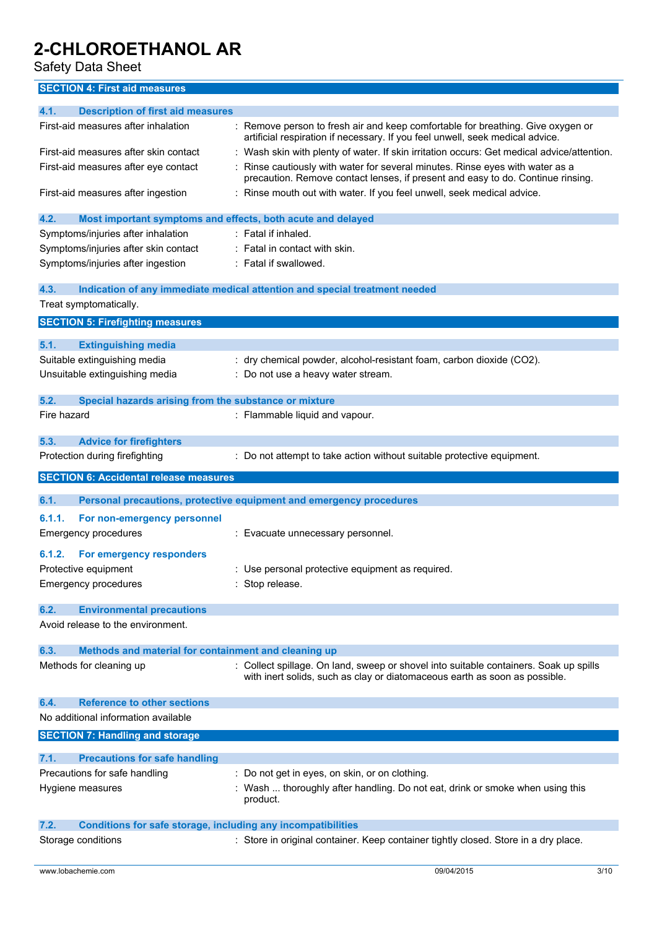Safety Data Sheet

## **SECTION 4: First aid measures**

| 4.1.<br><b>Description of first aid measures</b>                            |                                                                                                                                                                   |
|-----------------------------------------------------------------------------|-------------------------------------------------------------------------------------------------------------------------------------------------------------------|
|                                                                             |                                                                                                                                                                   |
| First-aid measures after inhalation                                         | Remove person to fresh air and keep comfortable for breathing. Give oxygen or<br>artificial respiration if necessary. If you feel unwell, seek medical advice.    |
| First-aid measures after skin contact                                       | Wash skin with plenty of water. If skin irritation occurs: Get medical advice/attention.                                                                          |
| First-aid measures after eye contact                                        | Rinse cautiously with water for several minutes. Rinse eyes with water as a<br>precaution. Remove contact lenses, if present and easy to do. Continue rinsing.    |
| First-aid measures after ingestion                                          | : Rinse mouth out with water. If you feel unwell, seek medical advice.                                                                                            |
| 4.2.<br>Most important symptoms and effects, both acute and delayed         |                                                                                                                                                                   |
| Symptoms/injuries after inhalation                                          | : Fatal if inhaled.                                                                                                                                               |
| Symptoms/injuries after skin contact                                        | $:$ Fatal in contact with skin.                                                                                                                                   |
| Symptoms/injuries after ingestion                                           | : Fatal if swallowed.                                                                                                                                             |
| 4.3.                                                                        | Indication of any immediate medical attention and special treatment needed                                                                                        |
| Treat symptomatically.                                                      |                                                                                                                                                                   |
| <b>SECTION 5: Firefighting measures</b>                                     |                                                                                                                                                                   |
|                                                                             |                                                                                                                                                                   |
| 5.1.<br><b>Extinguishing media</b>                                          |                                                                                                                                                                   |
| Suitable extinguishing media                                                | : dry chemical powder, alcohol-resistant foam, carbon dioxide (CO2).                                                                                              |
| Unsuitable extinguishing media                                              | Do not use a heavy water stream.                                                                                                                                  |
| Special hazards arising from the substance or mixture<br>5.2.               |                                                                                                                                                                   |
| Fire hazard                                                                 | : Flammable liquid and vapour.                                                                                                                                    |
|                                                                             |                                                                                                                                                                   |
| 5.3.<br><b>Advice for firefighters</b>                                      |                                                                                                                                                                   |
| Protection during firefighting                                              | Do not attempt to take action without suitable protective equipment.                                                                                              |
| <b>SECTION 6: Accidental release measures</b>                               |                                                                                                                                                                   |
|                                                                             |                                                                                                                                                                   |
| 6.1.                                                                        | Personal precautions, protective equipment and emergency procedures                                                                                               |
| 6.1.1.<br>For non-emergency personnel                                       |                                                                                                                                                                   |
| Emergency procedures                                                        | : Evacuate unnecessary personnel.                                                                                                                                 |
| 6.1.2.<br>For emergency responders                                          |                                                                                                                                                                   |
| Protective equipment                                                        | Use personal protective equipment as required.                                                                                                                    |
| <b>Emergency procedures</b>                                                 | : Stop release.                                                                                                                                                   |
|                                                                             |                                                                                                                                                                   |
|                                                                             |                                                                                                                                                                   |
| 6.2.<br><b>Environmental precautions</b>                                    |                                                                                                                                                                   |
| Avoid release to the environment.                                           |                                                                                                                                                                   |
|                                                                             |                                                                                                                                                                   |
| Methods and material for containment and cleaning up<br>6.3.                |                                                                                                                                                                   |
| Methods for cleaning up                                                     | Collect spillage. On land, sweep or shovel into suitable containers. Soak up spills<br>with inert solids, such as clay or diatomaceous earth as soon as possible. |
| <b>Reference to other sections</b><br>6.4.                                  |                                                                                                                                                                   |
| No additional information available                                         |                                                                                                                                                                   |
| <b>SECTION 7: Handling and storage</b>                                      |                                                                                                                                                                   |
|                                                                             |                                                                                                                                                                   |
| 7.1.<br><b>Precautions for safe handling</b>                                |                                                                                                                                                                   |
| Precautions for safe handling                                               | Do not get in eyes, on skin, or on clothing.                                                                                                                      |
| Hygiene measures                                                            | Wash  thoroughly after handling. Do not eat, drink or smoke when using this<br>product.                                                                           |
| <b>Conditions for safe storage, including any incompatibilities</b><br>7.2. |                                                                                                                                                                   |
| Storage conditions                                                          | : Store in original container. Keep container tightly closed. Store in a dry place.                                                                               |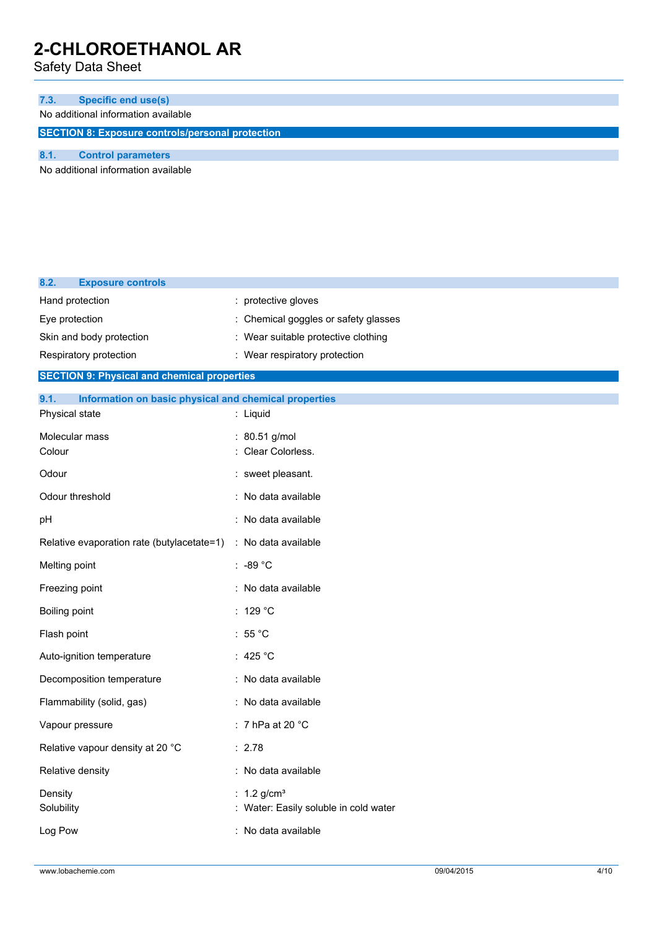Safety Data Sheet

| 7.3.                                                    | <b>Specific end use(s)</b>          |  |  |
|---------------------------------------------------------|-------------------------------------|--|--|
|                                                         | No additional information available |  |  |
| <b>SECTION 8: Exposure controls/personal protection</b> |                                     |  |  |
|                                                         |                                     |  |  |

No additional information available

| 8.2.<br><b>Exposure controls</b>                              |                                       |
|---------------------------------------------------------------|---------------------------------------|
| Hand protection                                               | : protective gloves                   |
| Eye protection                                                | Chemical goggles or safety glasses    |
| Skin and body protection                                      | : Wear suitable protective clothing   |
| Respiratory protection                                        | : Wear respiratory protection         |
| <b>SECTION 9: Physical and chemical properties</b>            |                                       |
| Information on basic physical and chemical properties<br>9.1. |                                       |
| Physical state                                                | : Liquid                              |
| Molecular mass                                                | : 80.51 g/mol                         |
| Colour                                                        | Clear Colorless.                      |
| Odour                                                         | : sweet pleasant.                     |
| Odour threshold                                               | : No data available                   |
| pH                                                            | : No data available                   |
| Relative evaporation rate (butylacetate=1)                    | : No data available                   |
| Melting point                                                 | : -89 °C                              |
| Freezing point                                                | : No data available                   |
| Boiling point                                                 | : 129 °C                              |
| Flash point                                                   | : 55 °C                               |
| Auto-ignition temperature                                     | : 425 $^{\circ}$ C                    |
| Decomposition temperature                                     | : No data available                   |
| Flammability (solid, gas)                                     | : No data available                   |
| Vapour pressure                                               | : 7 hPa at 20 $^{\circ}$ C            |
| Relative vapour density at 20 °C                              | : 2.78                                |
| Relative density                                              | : No data available                   |
| Density                                                       | : $1.2$ g/cm <sup>3</sup>             |
| Solubility                                                    | : Water: Easily soluble in cold water |
| Log Pow                                                       | : No data available                   |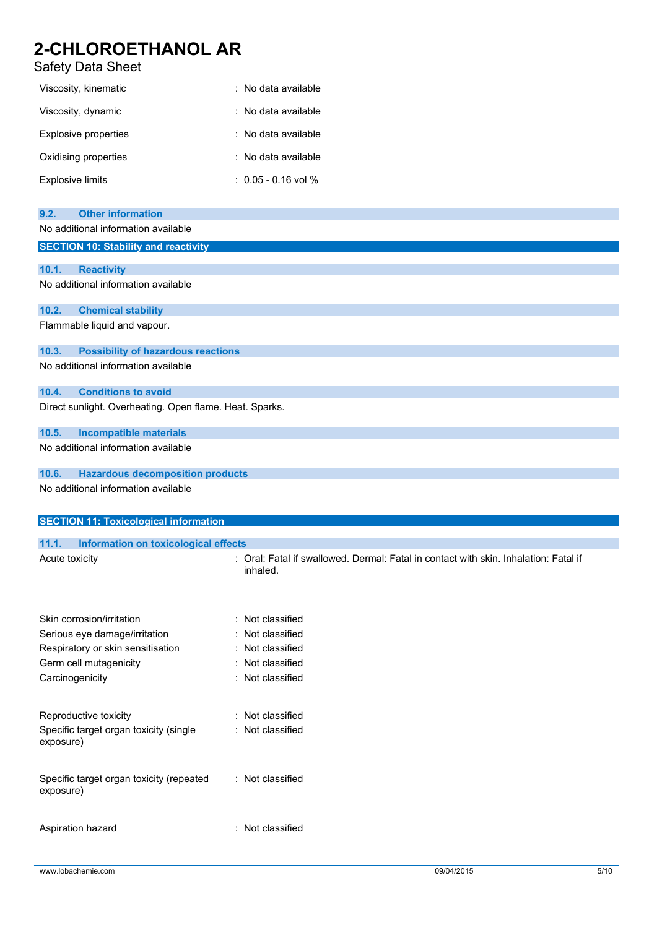## Safety Data Sheet

| Viscosity, kinematic    | : No data available   |
|-------------------------|-----------------------|
| Viscosity, dynamic      | : No data available   |
| Explosive properties    | : No data available   |
| Oxidising properties    | : No data available   |
| <b>Explosive limits</b> | $: 0.05 - 0.16$ vol % |

| <b>Other information</b><br>9.2.                                                          |                                                                                      |
|-------------------------------------------------------------------------------------------|--------------------------------------------------------------------------------------|
| No additional information available                                                       |                                                                                      |
| <b>SECTION 10: Stability and reactivity</b>                                               |                                                                                      |
|                                                                                           |                                                                                      |
| <b>Reactivity</b><br>10.1.<br>No additional information available                         |                                                                                      |
|                                                                                           |                                                                                      |
| 10.2.<br><b>Chemical stability</b>                                                        |                                                                                      |
| Flammable liquid and vapour.                                                              |                                                                                      |
|                                                                                           |                                                                                      |
| 10.3.<br><b>Possibility of hazardous reactions</b><br>No additional information available |                                                                                      |
|                                                                                           |                                                                                      |
| 10.4.<br><b>Conditions to avoid</b>                                                       |                                                                                      |
| Direct sunlight. Overheating. Open flame. Heat. Sparks.                                   |                                                                                      |
|                                                                                           |                                                                                      |
| 10.5.<br><b>Incompatible materials</b>                                                    |                                                                                      |
| No additional information available                                                       |                                                                                      |
| 10.6.<br><b>Hazardous decomposition products</b>                                          |                                                                                      |
| No additional information available                                                       |                                                                                      |
|                                                                                           |                                                                                      |
| <b>SECTION 11: Toxicological information</b>                                              |                                                                                      |
|                                                                                           |                                                                                      |
|                                                                                           |                                                                                      |
| 11.1.<br><b>Information on toxicological effects</b>                                      |                                                                                      |
| Acute toxicity                                                                            | : Oral: Fatal if swallowed. Dermal: Fatal in contact with skin. Inhalation: Fatal if |
|                                                                                           | inhaled.                                                                             |
|                                                                                           |                                                                                      |
|                                                                                           |                                                                                      |
| Skin corrosion/irritation                                                                 | : Not classified<br>Not classified                                                   |
| Serious eye damage/irritation                                                             |                                                                                      |
| Respiratory or skin sensitisation                                                         | : Not classified<br>Not classified<br>÷                                              |
| Germ cell mutagenicity                                                                    | : Not classified                                                                     |
| Carcinogenicity                                                                           |                                                                                      |
|                                                                                           |                                                                                      |
| Reproductive toxicity                                                                     | : Not classified                                                                     |
| Specific target organ toxicity (single                                                    | : Not classified                                                                     |
| exposure)                                                                                 |                                                                                      |
|                                                                                           |                                                                                      |
| Specific target organ toxicity (repeated                                                  | : Not classified                                                                     |
| exposure)                                                                                 |                                                                                      |
| Aspiration hazard                                                                         | : Not classified                                                                     |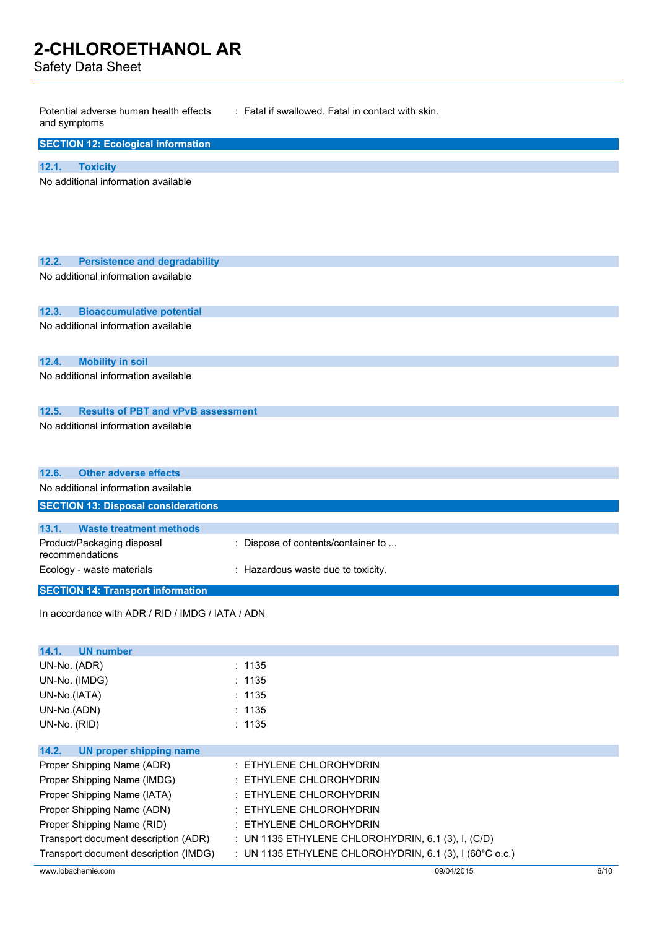Safety Data Sheet

| Potential adverse human health effects<br>and symptoms                           | : Fatal if swallowed. Fatal in contact with skin.       |      |
|----------------------------------------------------------------------------------|---------------------------------------------------------|------|
| <b>SECTION 12: Ecological information</b>                                        |                                                         |      |
| 12.1.<br><b>Toxicity</b>                                                         |                                                         |      |
| No additional information available                                              |                                                         |      |
|                                                                                  |                                                         |      |
|                                                                                  |                                                         |      |
|                                                                                  |                                                         |      |
| 12.2.<br><b>Persistence and degradability</b>                                    |                                                         |      |
| No additional information available                                              |                                                         |      |
|                                                                                  |                                                         |      |
| 12.3.<br><b>Bioaccumulative potential</b><br>No additional information available |                                                         |      |
|                                                                                  |                                                         |      |
| 12.4.<br><b>Mobility in soil</b>                                                 |                                                         |      |
| No additional information available                                              |                                                         |      |
| <b>Results of PBT and vPvB assessment</b><br>12.5.                               |                                                         |      |
| No additional information available                                              |                                                         |      |
|                                                                                  |                                                         |      |
|                                                                                  |                                                         |      |
| 12.6.<br><b>Other adverse effects</b>                                            |                                                         |      |
| No additional information available                                              |                                                         |      |
| <b>SECTION 13: Disposal considerations</b>                                       |                                                         |      |
| 13.1.<br><b>Waste treatment methods</b>                                          |                                                         |      |
| Product/Packaging disposal<br>recommendations                                    | : Dispose of contents/container to                      |      |
| Ecology - waste materials                                                        | : Hazardous waste due to toxicity.                      |      |
| <b>SECTION 14: Transport information</b>                                         |                                                         |      |
| In accordance with ADR / RID / IMDG / IATA / ADN                                 |                                                         |      |
|                                                                                  |                                                         |      |
| <b>UN number</b><br>14.1.                                                        |                                                         |      |
| UN-No. (ADR)                                                                     | : 1135                                                  |      |
| UN-No. (IMDG)                                                                    | : 1135                                                  |      |
| UN-No.(IATA)                                                                     | : 1135                                                  |      |
| UN-No.(ADN)                                                                      | : 1135                                                  |      |
| UN-No. (RID)                                                                     | : 1135                                                  |      |
| 14.2.<br><b>UN proper shipping name</b>                                          |                                                         |      |
| Proper Shipping Name (ADR)                                                       | : ETHYLENE CHLOROHYDRIN                                 |      |
| Proper Shipping Name (IMDG)                                                      | : ETHYLENE CHLOROHYDRIN                                 |      |
| Proper Shipping Name (IATA)                                                      | : ETHYLENE CHLOROHYDRIN                                 |      |
| Proper Shipping Name (ADN)                                                       | : ETHYLENE CHLOROHYDRIN                                 |      |
| Proper Shipping Name (RID)                                                       | : ETHYLENE CHLOROHYDRIN                                 |      |
| Transport document description (ADR)                                             | : UN 1135 ETHYLENE CHLOROHYDRIN, 6.1 (3), I, (C/D)      |      |
| Transport document description (IMDG)                                            | : UN 1135 ETHYLENE CHLOROHYDRIN, 6.1 (3), I (60°C o.c.) |      |
| www.lobachemie.com                                                               | 09/04/2015                                              | 6/10 |
|                                                                                  |                                                         |      |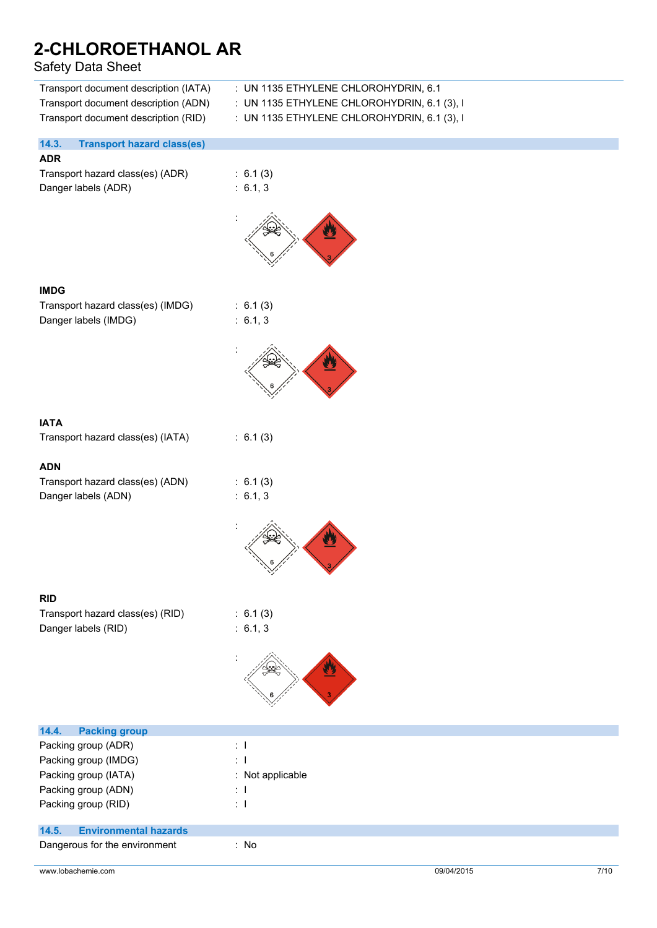## Safety Data Sheet

| Sarety Data Sheet                                                                                                     |                                                                                                                                    |
|-----------------------------------------------------------------------------------------------------------------------|------------------------------------------------------------------------------------------------------------------------------------|
| Transport document description (IATA)<br>Transport document description (ADN)<br>Transport document description (RID) | : UN 1135 ETHYLENE CHLOROHYDRIN, 6.1<br>: UN 1135 ETHYLENE CHLOROHYDRIN, 6.1 (3), I<br>: UN 1135 ETHYLENE CHLOROHYDRIN, 6.1 (3), I |
| 14.3.<br><b>Transport hazard class(es)</b>                                                                            |                                                                                                                                    |
| <b>ADR</b>                                                                                                            |                                                                                                                                    |
| Transport hazard class(es) (ADR)                                                                                      | : 6.1(3)                                                                                                                           |
| Danger labels (ADR)                                                                                                   | : 6.1, 3                                                                                                                           |
|                                                                                                                       |                                                                                                                                    |
| <b>IMDG</b>                                                                                                           |                                                                                                                                    |
| Transport hazard class(es) (IMDG)                                                                                     | : 6.1(3)                                                                                                                           |
| Danger labels (IMDG)                                                                                                  | : 6.1, 3                                                                                                                           |
|                                                                                                                       |                                                                                                                                    |
| <b>IATA</b>                                                                                                           |                                                                                                                                    |
| Transport hazard class(es) (IATA)                                                                                     | : 6.1(3)                                                                                                                           |
|                                                                                                                       |                                                                                                                                    |
| <b>ADN</b>                                                                                                            |                                                                                                                                    |
| Transport hazard class(es) (ADN)                                                                                      | : 6.1(3)                                                                                                                           |
| Danger labels (ADN)                                                                                                   | : 6.1, 3                                                                                                                           |
|                                                                                                                       |                                                                                                                                    |
| <b>RID</b>                                                                                                            |                                                                                                                                    |
| Transport hazard class(es) (RID)                                                                                      | : 6.1(3)                                                                                                                           |
| Danger labels (RID)                                                                                                   | : 6.1, 3                                                                                                                           |
|                                                                                                                       |                                                                                                                                    |
| 14.4.<br><b>Packing group</b>                                                                                         |                                                                                                                                    |
| Packing group (ADR)                                                                                                   | $\pm$ 1                                                                                                                            |
| Packing group (IMDG)                                                                                                  | $\mathbf{1}$                                                                                                                       |
| Packing group (IATA)                                                                                                  | : Not applicable                                                                                                                   |
| Packing group (ADN)                                                                                                   | ÷Т                                                                                                                                 |
| Packing group (RID)                                                                                                   | $\pm$ 1                                                                                                                            |

## **14.5. Environmental hazards**

Dangerous for the environment : No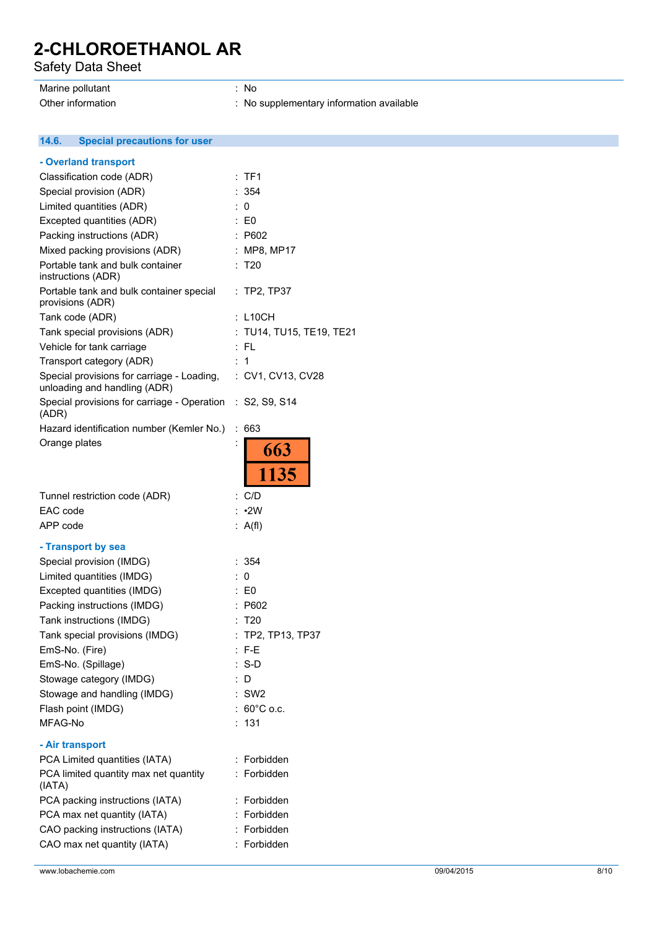Safety Data Sheet

## Marine pollutant in the set of the set of the set of the set of the set of the set of the set of the set of the set of the set of the set of the set of the set of the set of the set of the set of the set of the set of the

Other information **contact to the COSE** of No supplementary information available

 $14.6.$ **14.6. Special precautions for user**

| - Overland transport                                                       |                          |
|----------------------------------------------------------------------------|--------------------------|
| Classification code (ADR)                                                  | TF1                      |
| Special provision (ADR)                                                    | : 354                    |
| Limited quantities (ADR)                                                   | : 0                      |
| Excepted quantities (ADR)                                                  | : E0                     |
| Packing instructions (ADR)                                                 | : P602                   |
| Mixed packing provisions (ADR)                                             | : MP8, MP17              |
| Portable tank and bulk container<br>instructions (ADR)                     | : T20                    |
| Portable tank and bulk container special<br>provisions (ADR)               | : TP2, TP37              |
| Tank code (ADR)                                                            | $:$ L <sub>10CH</sub>    |
| Tank special provisions (ADR)                                              | : TU14, TU15, TE19, TE21 |
| Vehicle for tank carriage                                                  | :FL                      |
| Transport category (ADR)                                                   | 1                        |
| Special provisions for carriage - Loading,<br>unloading and handling (ADR) | : CV1, CV13, CV28        |
| Special provisions for carriage - Operation :<br>(ADR)                     | S2, S9, S14              |
| Hazard identification number (Kemler No.)                                  | ÷<br>663                 |
| Orange plates                                                              | 663<br>1135              |
|                                                                            |                          |
| Tunnel restriction code (ADR)                                              | : C/D                    |
| EAC code                                                                   | $: \cdot$ 2W             |
| APP code                                                                   | : $A(f)$                 |
| - Transport by sea                                                         |                          |
| Special provision (IMDG)                                                   | : 354                    |
| Limited quantities (IMDG)                                                  | : 0                      |
| Excepted quantities (IMDG)                                                 | : E0                     |
| Packing instructions (IMDG)                                                | P602                     |
| Tank instructions (IMDG)                                                   | T <sub>20</sub>          |
| Tank special provisions (IMDG)                                             | $:$ TP2, TP13, TP37      |
| EmS-No. (Fire)                                                             | $:$ F-E                  |
| EmS-No. (Spillage)                                                         | $: S-D$                  |
| Stowage category (IMDG)                                                    | D                        |
| Stowage and handling (IMDG)                                                | $:$ SW2                  |
| Flash point (IMDG)                                                         | : $60^{\circ}$ C o.c.    |
| MFAG-No                                                                    | : 131                    |
| - Air transport                                                            |                          |
| PCA Limited quantities (IATA)                                              | Forbidden<br>t.          |
| PCA limited quantity max net quantity<br>(IATA)                            | Forbidden<br>t.          |
| PCA packing instructions (IATA)                                            | : Forbidden              |
| PCA max net quantity (IATA)                                                | : Forbidden              |
| CAO packing instructions (IATA)                                            | Forbidden                |
| CAO max net quantity (IATA)                                                | Forbidden                |
|                                                                            |                          |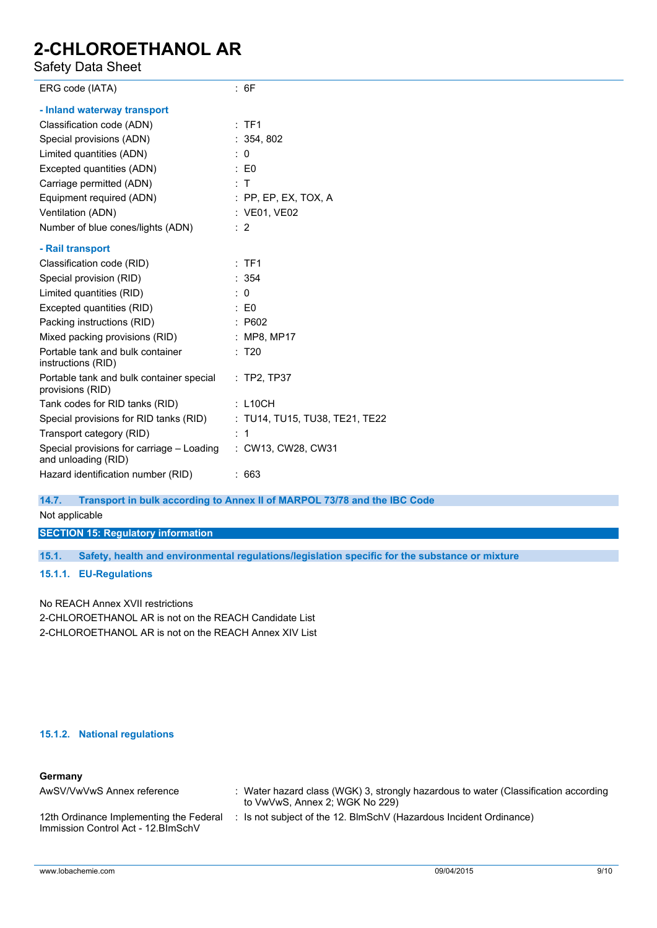Safety Data Sheet

| ERG code (IATA)                                                       | : 6F                                                                                                                                                                                                                                                                                          |
|-----------------------------------------------------------------------|-----------------------------------------------------------------------------------------------------------------------------------------------------------------------------------------------------------------------------------------------------------------------------------------------|
| - Inland waterway transport                                           |                                                                                                                                                                                                                                                                                               |
| Classification code (ADN)                                             | :TF1                                                                                                                                                                                                                                                                                          |
| Special provisions (ADN)                                              | : 354, 802                                                                                                                                                                                                                                                                                    |
| Limited quantities (ADN)                                              | $\therefore$ 0                                                                                                                                                                                                                                                                                |
| Excepted quantities (ADN)                                             | $\therefore$ EO                                                                                                                                                                                                                                                                               |
| Carriage permitted (ADN)                                              | : T                                                                                                                                                                                                                                                                                           |
| Equipment required (ADN)                                              | $:$ PP, EP, EX, TOX, A                                                                                                                                                                                                                                                                        |
| Ventilation (ADN)                                                     | : VE01, VE02                                                                                                                                                                                                                                                                                  |
| Number of blue cones/lights (ADN)                                     | $\therefore$ 2                                                                                                                                                                                                                                                                                |
| - Rail transport                                                      |                                                                                                                                                                                                                                                                                               |
| Classification code (RID)                                             | :TF1                                                                                                                                                                                                                                                                                          |
| Special provision (RID)                                               | : 354                                                                                                                                                                                                                                                                                         |
| Limited quantities (RID)                                              | $\therefore$ 0                                                                                                                                                                                                                                                                                |
| Excepted quantities (RID)                                             | $\therefore$ EO                                                                                                                                                                                                                                                                               |
| Packing instructions (RID)                                            | : P602                                                                                                                                                                                                                                                                                        |
| Mixed packing provisions (RID)                                        | : MP8, MP17                                                                                                                                                                                                                                                                                   |
| Portable tank and bulk container<br>instructions (RID)                | : T20                                                                                                                                                                                                                                                                                         |
| Portable tank and bulk container special<br>provisions (RID)          | $:$ TP2, TP37                                                                                                                                                                                                                                                                                 |
| Tank codes for RID tanks (RID)                                        | : L10CH                                                                                                                                                                                                                                                                                       |
| Special provisions for RID tanks (RID) : TU14, TU15, TU38, TE21, TE22 |                                                                                                                                                                                                                                                                                               |
| Transport category (RID)                                              | $\therefore$ 1                                                                                                                                                                                                                                                                                |
| Special provisions for carriage - Loading<br>and unloading (RID)      | : CW13, CW28, CW31                                                                                                                                                                                                                                                                            |
| Hazard identification number (RID)                                    | :663                                                                                                                                                                                                                                                                                          |
| $\overline{A}$ and $\overline{B}$                                     | $\mathbf{B}$ and $\mathbf{A}$ are set if the set of $\mathbf{B}$ and $\mathbf{B}$ and $\mathbf{B}$ are $\mathbf{B}$ and $\mathbf{B}$ and $\mathbf{B}$ are $\mathbf{B}$ and $\mathbf{B}$ are $\mathbf{B}$ and $\mathbf{B}$ are $\mathbf{B}$ and $\mathbf{B}$ are $\mathbf{B}$ and $\mathbf{B}$ |

#### **14.7. Transport in bulk according to Annex II of MARPOL 73/78 and the IBC Code**

Not applicable

**SECTION 15: Regulatory information**

**15.1. Safety, health and environmental regulations/legislation specific for the substance or mixture**

### **15.1.1. EU-Regulations**

No REACH Annex XVII restrictions 2-CHLOROETHANOL AR is not on the REACH Candidate List 2-CHLOROETHANOL AR is not on the REACH Annex XIV List

### **15.1.2. National regulations**

### **Germany**

| AwSV/VwVwS Annex reference                                                     | Water hazard class (WGK) 3, strongly hazardous to water (Classification according<br>to VwVwS, Annex 2; WGK No 229) |
|--------------------------------------------------------------------------------|---------------------------------------------------------------------------------------------------------------------|
| 12th Ordinance Implementing the Federal<br>Immission Control Act - 12. BlmSchV | : Is not subject of the 12. BlmSchV (Hazardous Incident Ordinance)                                                  |